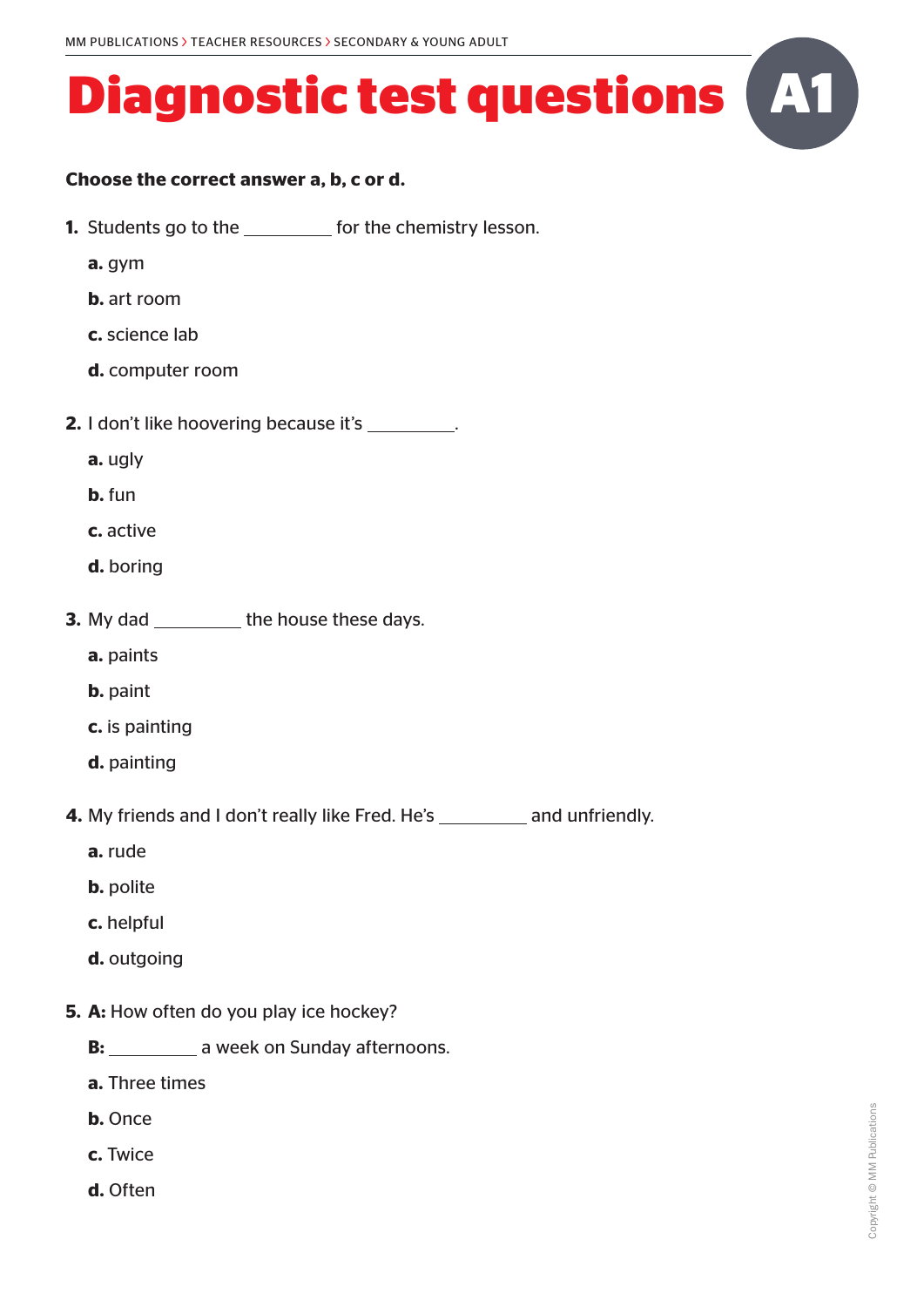#### **Choose the correct answer a, b, c or d.**

- **1.** Students go to the **for the chemistry lesson.** 
	- **a.** gym
	- **b.** art room
	- **c.** science lab
	- **d.** computer room
- **2.** I don't like hoovering because it's \_\_\_\_\_\_\_\_\_.
	- **a.** ugly
	- **b.** fun
	- **c.** active
	- **d.** boring
- **3.** My dad \_\_\_\_\_\_\_\_\_\_ the house these days.
	- **a.** paints
	- **b.** paint
	- **c.** is painting
	- **d.** painting
- **4.** My friends and I don't really like Fred. He's and unfriendly.
	- **a.** rude
	- **b.** polite
	- **c.** helpful
	- **d.** outgoing
- **5. A:** How often do you play ice hockey?
	- **B: a** week on Sunday afternoons.
	- **a.** Three times
	- **b.** Once
	- **c.** Twice
	- **d.** Often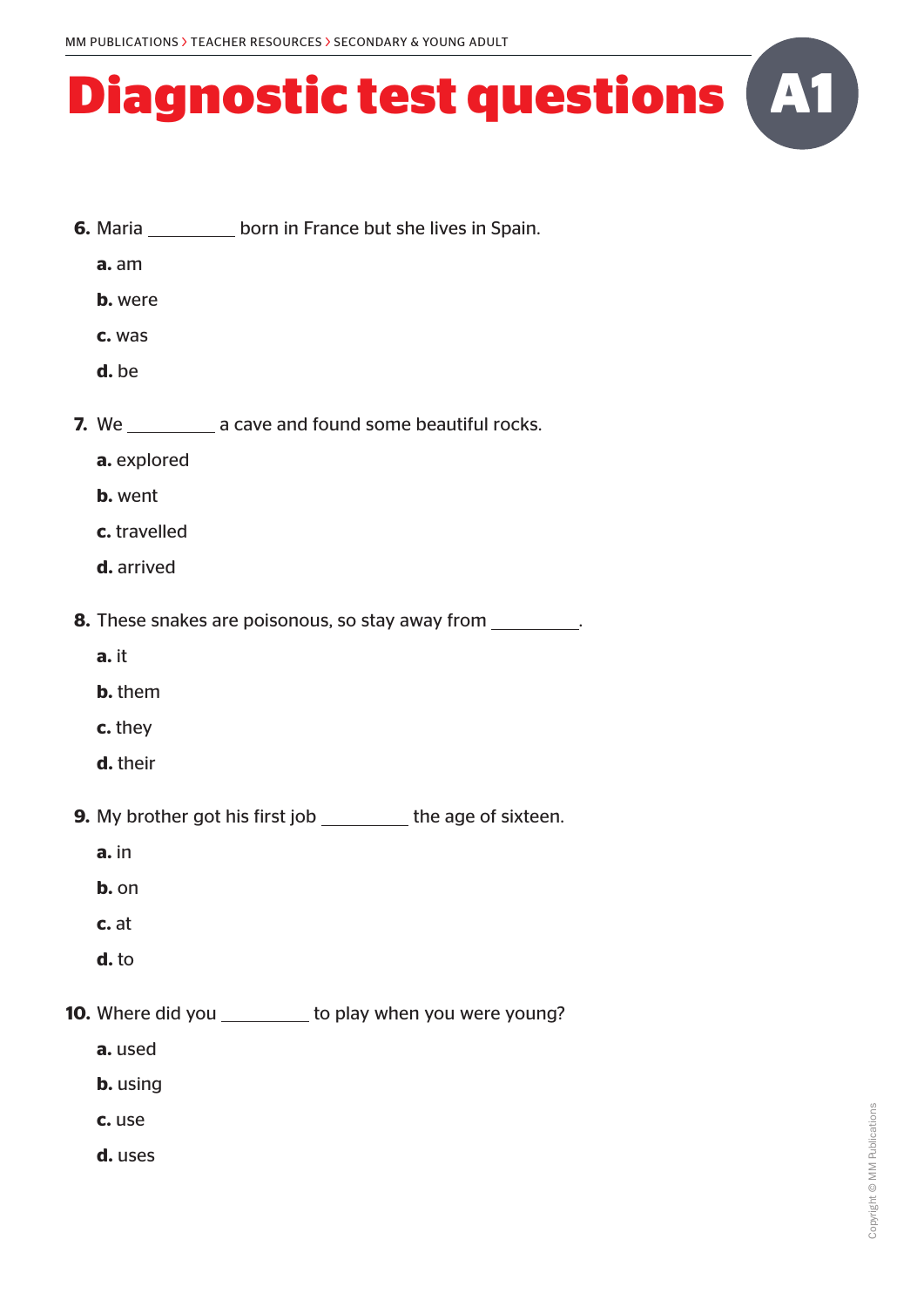- **6.** Maria **born in France but she lives in Spain.** 
	- **a.** am
	- **b.** were
	- **c.** was
	- **d.** be
- **7.** We **a** cave and found some beautiful rocks.
	- **a.** explored
	- **b.** went
	- **c.** travelled
	- **d.** arrived

**8.** These snakes are poisonous, so stay away from

- **a.** it
- **b.** them
- **c.** they
- **d.** their

**9.** My brother got his first job the age of sixteen.

- **a.** in
- **b.** on
- **c.** at
- **d.** to

**10.** Where did you \_\_\_\_\_\_\_\_\_ to play when you were young?

- **a.** used
- **b.** using
- **c.** use
- **d.** uses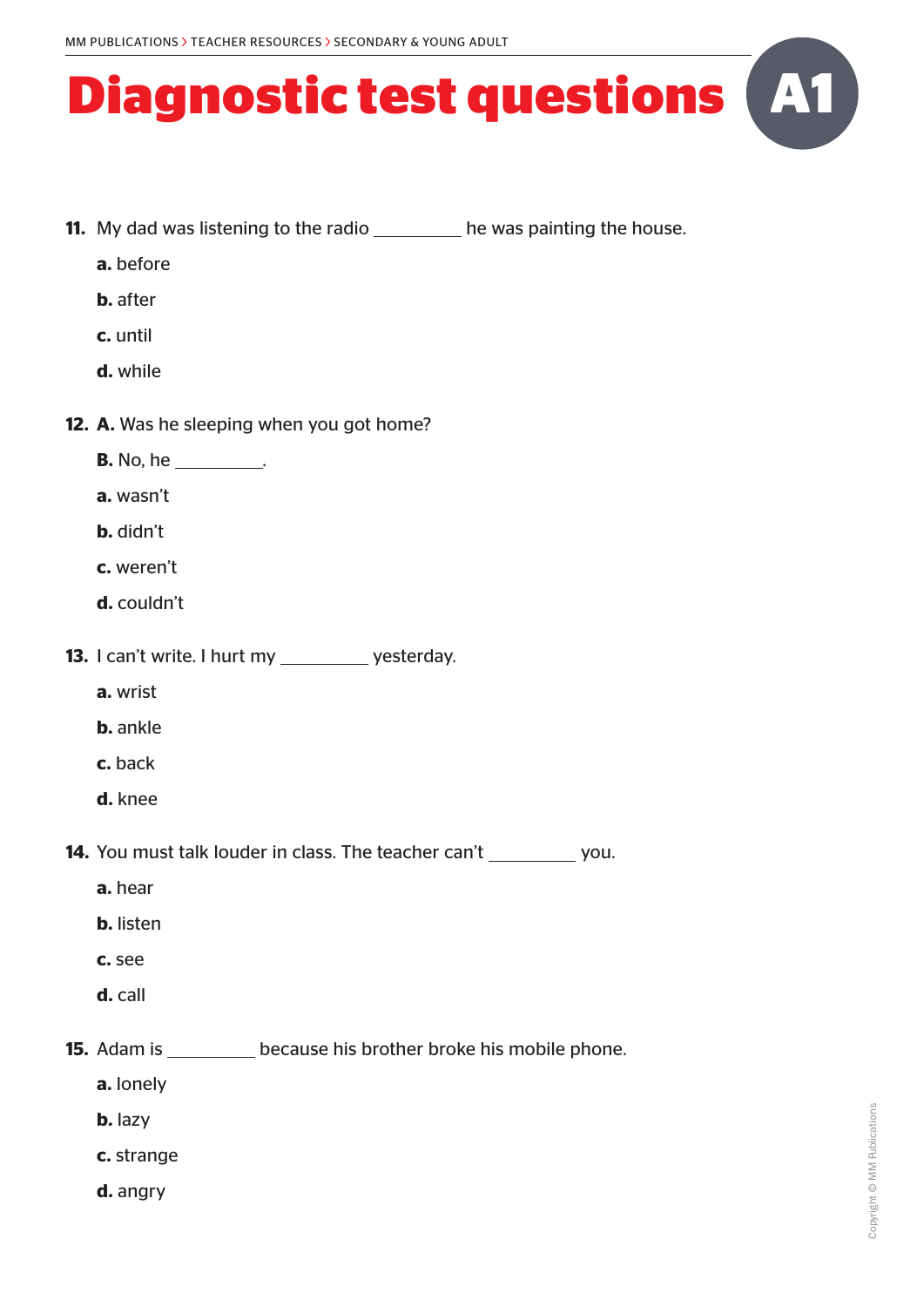- **11.** My dad was listening to the radio he was painting the house.
	- **a.** before
	- **b.** after
	- **c.** until
	- **d.** while
- **12. A.** Was he sleeping when you got home?
	- **B.** No, he ...
		- **a.** wasn't
		- **b.** didn't
		- **c.** weren't
		- **d.** couldn't
- **13.** I can't write. I hurt my \_\_\_\_\_\_\_\_\_ yesterday.
	- **a.** wrist
	- **b.** ankle
	- **c.** back
	- **d.** knee

**14.** You must talk louder in class. The teacher can't you.

- **a.** hear
- **b.** listen
- **c.** see
- **d.** call

**15.** Adam is \_\_\_\_\_\_\_\_\_\_ because his brother broke his mobile phone.

- **a.** lonely
- **b.** lazy
- **c.** strange
- **d.** angry

**A1**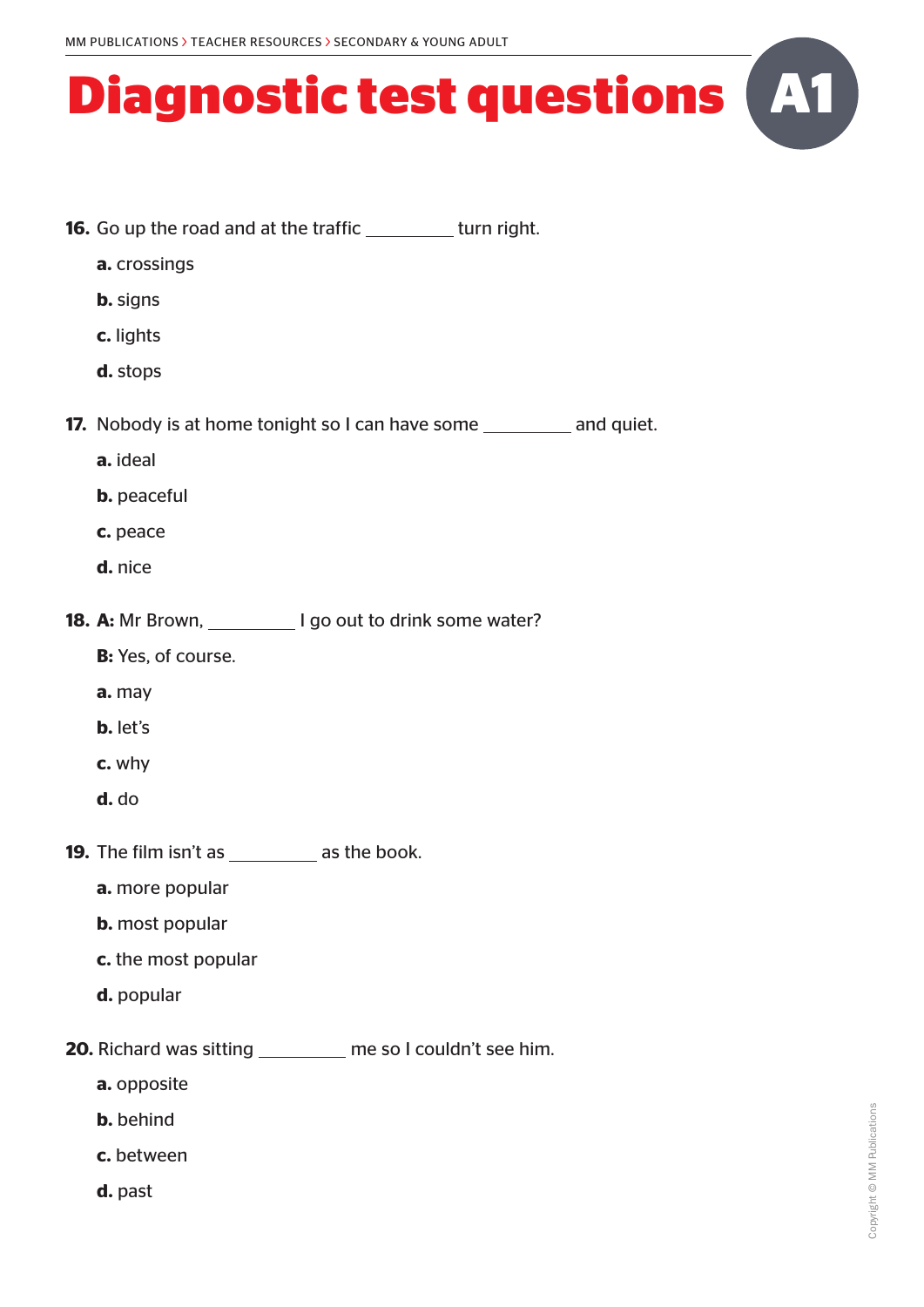- **16.** Go up the road and at the traffic \_\_\_\_\_\_\_\_\_ turn right. **a.** crossings **b.** signs **c.** lights **d.** stops **17.** Nobody is at home tonight so I can have some and quiet. **a.** ideal **b.** peaceful **c.** peace **d.** nice **18. A:** Mr Brown, **I** go out to drink some water? **B:** Yes, of course. **a.** may **b.** let's **c.** why **d.** do **19.** The film isn't as \_\_\_\_\_\_\_\_ as the book. **a.** more popular **b.** most popular **c.** the most popular **d.** popular **20.** Richard was sitting \_\_\_\_\_\_\_\_ me so I couldn't see him. **a.** opposite **b.** behind **c.** between
	- **d.** past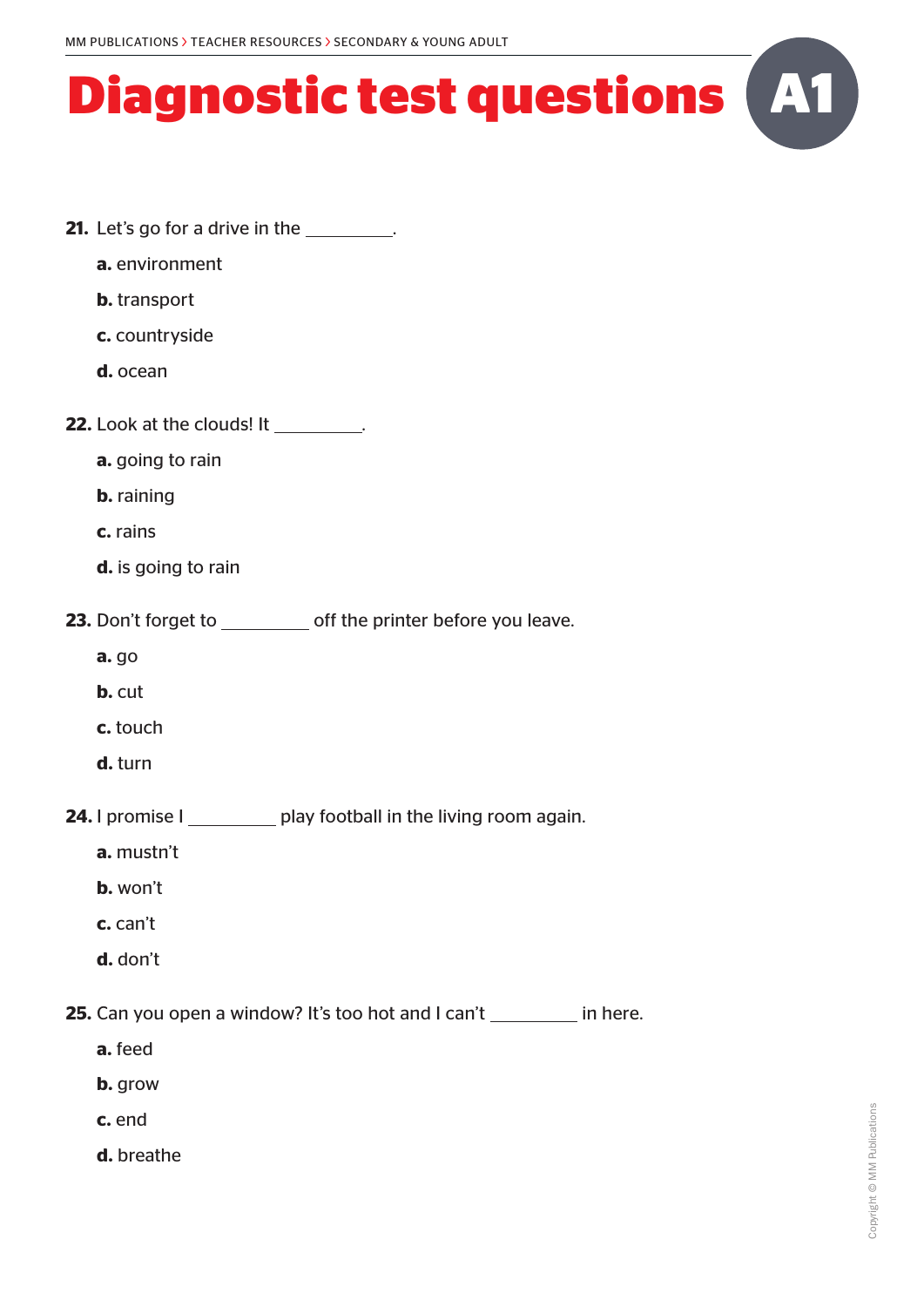- **21.** Let's go for a drive in the \_\_\_\_\_\_\_\_.
	- **a.** environment
	- **b.** transport
	- **c.** countryside
	- **d.** ocean
- **22.** Look at the clouds! It .
	- **a.** going to rain
	- **b.** raining
	- **c.** rains
	- **d.** is going to rain
- **23.** Don't forget to \_\_\_\_\_\_\_\_\_ off the printer before you leave.
	- **a.** go
	- **b.** cut
	- **c.** touch
	- **d.** turn
- **24.** I promise I play football in the living room again.
	- **a.** mustn't
	- **b.** won't
	- **c.** can't
	- **d.** don't

**25.** Can you open a window? It's too hot and I can't in here.

- **a.** feed
- **b.** grow
- **c.** end
- **d.** breathe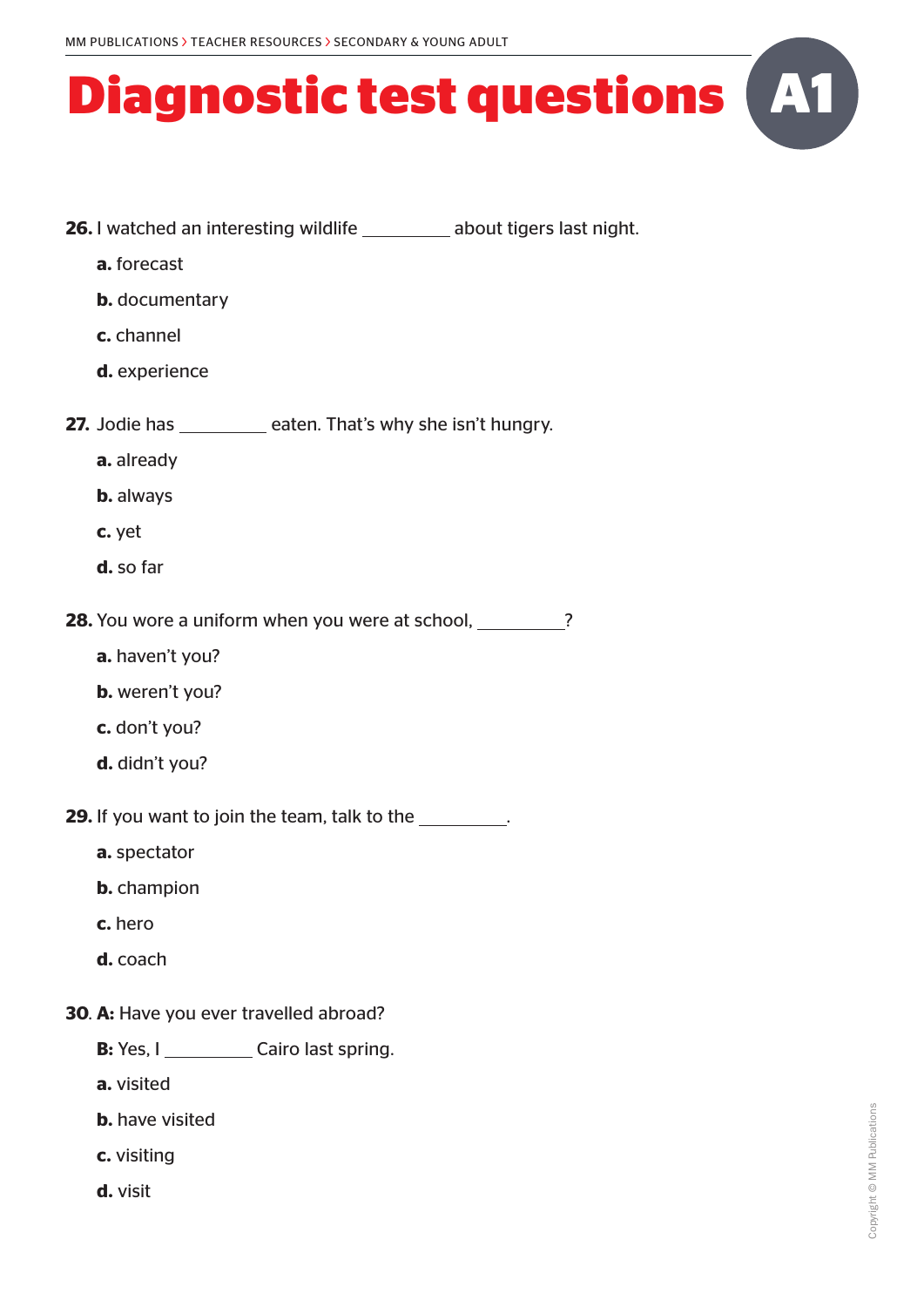- **26.** I watched an interesting wildlife about tigers last night.
	- **a.** forecast
	- **b.** documentary
	- **c.** channel
	- **d.** experience
- **27.** Jodie has \_\_\_\_\_\_\_\_ eaten. That's why she isn't hungry.
	- **a.** already
	- **b.** always
	- **c.** yet
	- **d.** so far

**28.** You wore a uniform when you were at school, 28. You wore a uniform when you were at school,

- **a.** haven't you?
- **b.** weren't you?
- **c.** don't you?
- **d.** didn't you?
- **29.** If you want to join the team, talk to the **...** 
	- **a.** spectator
	- **b.** champion
	- **c.** hero
	- **d.** coach
- **30**. **A:** Have you ever travelled abroad?
	- **B:** Yes, I \_\_\_\_\_\_\_\_\_\_\_ Cairo last spring.
	- **a.** visited
	- **b.** have visited
	- **c.** visiting
	- **d.** visit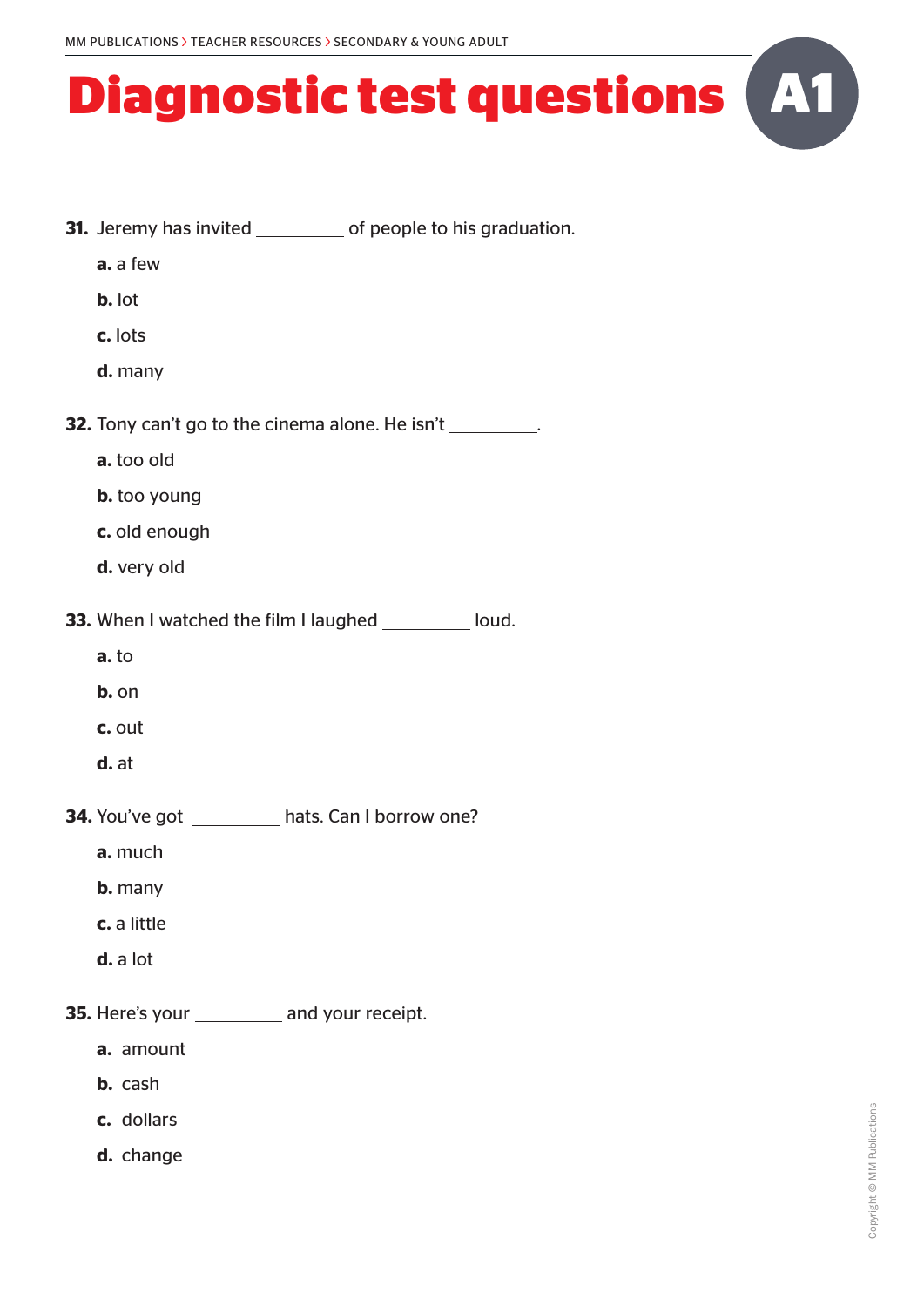- **31.** Jeremy has invited of people to his graduation.
	- **a.** a few
	- **b.** lot
	- **c.** lots
	- **d.** many
- **32.** Tony can't go to the cinema alone. He isn't
	- **a.** too old
	- **b.** too young
	- **c.** old enough
	- **d.** very old
- **33.** When I watched the film I laughed \_\_\_\_\_\_\_\_ loud.
	- **a.** to
	- **b.** on
	- **c.** out
	- **d.** at
- **34.** You've got hats. Can I borrow one?
	- **a.** much
	- **b.** many
	- **c.** a little
	- **d.** a lot
- **35.** Here's your \_\_\_\_\_\_\_\_\_\_\_ and your receipt.
	- **a.** amount
	- **b.** cash
	- **c.** dollars
	- **d.** change